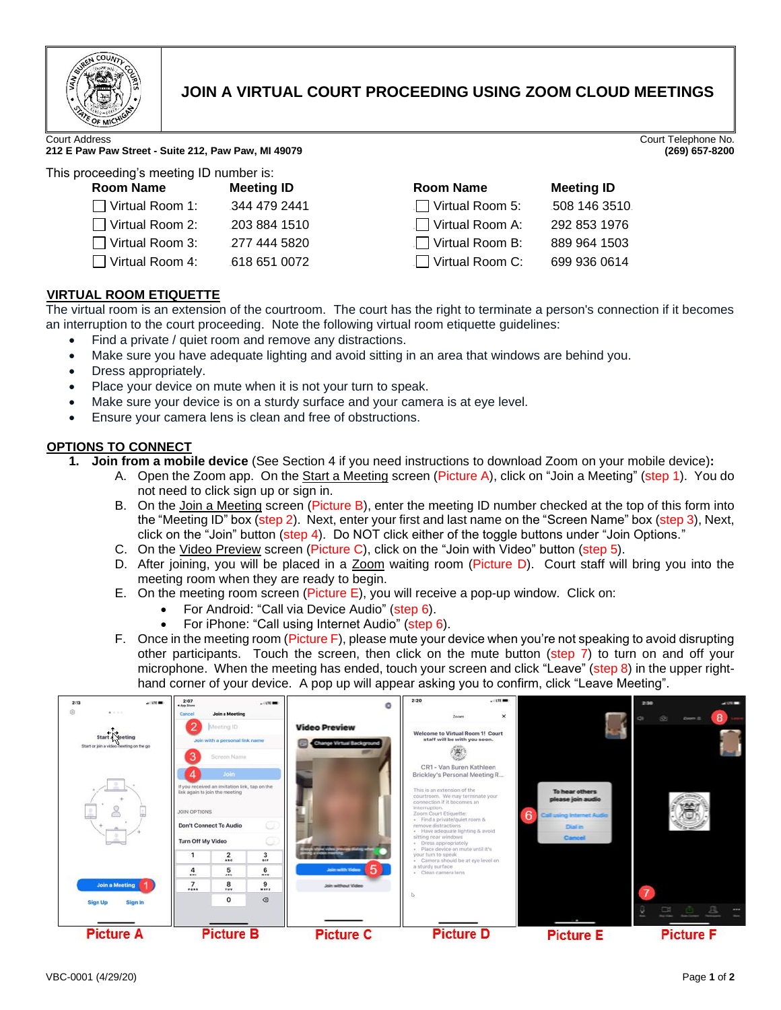

# **JOIN A VIRTUAL COURT PROCEEDING USING ZOOM CLOUD MEETINGS**

Court Address Court Telephone No.

#### **212 E Paw Paw Street - Suite 212, Paw Paw, MI 49079 (269) 657-8200**

This proceeding's meeting ID number is:

| Room Name              | <b>Meeting ID</b> |
|------------------------|-------------------|
| $\Box$ Virtual Room 1: | 344 479 2441      |
| $\Box$ Virtual Room 2: | 203 884 1510      |
| $\Box$ Virtual Room 3: | 277 444 5820      |
| $\Box$ Virtual Room 4: | 618 651 0072      |

| ceeding a meeting to number 19.        |  |  |
|----------------------------------------|--|--|
| <b>Meeting ID</b>                      |  |  |
| $\Box$ Virtual Room 5:<br>508 146 3510 |  |  |
| ⊥ Virtual Room A:<br>292 853 1976      |  |  |
| $\Box$ Virtual Room B:<br>889 964 1503 |  |  |
| $\Box$ Virtual Room C:<br>699 936 0614 |  |  |
|                                        |  |  |

# <sup>U</sup>**VIRTUAL ROOM ETIQUETTE**

The virtual room is an extension of the courtroom. The court has the right to terminate a person's connection if it becomes an interruption to the court proceeding. Note the following virtual room etiquette guidelines:

- Find a private / quiet room and remove any distractions.
- Make sure you have adequate lighting and avoid sitting in an area that windows are behind you.
- Dress appropriately.
- Place your device on mute when it is not your turn to speak.
- Make sure your device is on a sturdy surface and your camera is at eye level.
- Ensure your camera lens is clean and free of obstructions.

# <sup>U</sup>**OPTIONS TO CONNECT**

- **1. Join from a mobile device** (See Section 4 if you need instructions to download Zoom on your mobile device)**:**
	- A. Open the Zoom app. On the Start a Meeting screen (Picture A), click on "Join a Meeting" (step 1). You do not need to click sign up or sign in.
		- B. On the Join a Meeting screen (Picture B), enter the meeting ID number checked at the top of this form into the "Meeting ID" box (step 2). Next, enter your first and last name on the "Screen Name" box (step 3), Next, click on the "Join" button (step 4). Do NOT click either of the toggle buttons under "Join Options."
		- C. On the Video Preview screen (Picture C), click on the "Join with Video" button (step 5).
		- D. After joining, you will be placed in a Zoom waiting room (Picture D). Court staff will bring you into the meeting room when they are ready to begin.
		- E. On the meeting room screen (Picture E), you will receive a pop-up window. Click on:
			- For Android: "Call via Device Audio" (step 6).
			- For iPhone: "Call using Internet Audio" (step 6).
		- F. Once in the meeting room (Picture F), please mute your device when you're not speaking to avoid disrupting other participants. Touch the screen, then click on the mute button (step 7) to turn on and off your microphone. When the meeting has ended, touch your screen and click "Leave" (step 8) in the upper righthand corner of your device. A pop up will appear asking you to confirm, click "Leave Meeting".